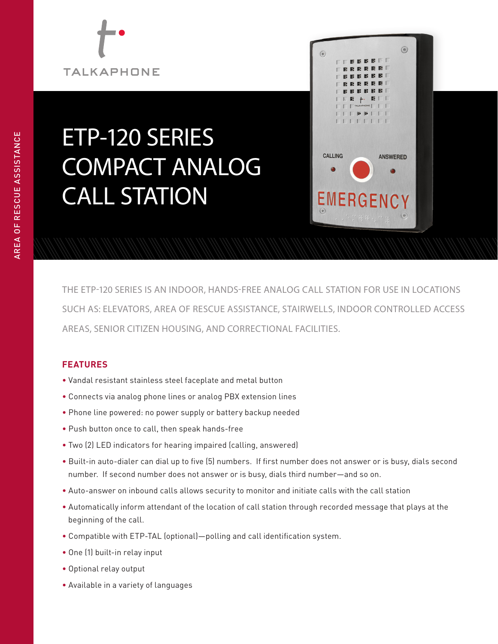# **TALKAPHONE**

# ETP-120 SERIES COMPACT ANALOG CALL STATION



THE ETP-120 SERIES IS AN INDOOR, HANDS-FREE ANALOG CALL STATION FOR USE IN LOCATIONS SUCH AS: ELEVATORS, AREA OF RESCUE ASSISTANCE, STAIRWELLS, INDOOR CONTROLLED ACCESS AREAS, SENIOR CITIZEN HOUSING, AND CORRECTIONAL FACILITIES.

## **FEATURES**

- Vandal resistant stainless steel faceplate and metal button
- Connects via analog phone lines or analog PBX extension lines
- Phone line powered: no power supply or battery backup needed
- Push button once to call, then speak hands-free
- Two (2) LED indicators for hearing impaired (calling, answered)
- Built-in auto-dialer can dial up to five (5) numbers. If first number does not answer or is busy, dials second number. If second number does not answer or is busy, dials third number—and so on.
- Auto-answer on inbound calls allows security to monitor and initiate calls with the call station
- Automatically inform attendant of the location of call station through recorded message that plays at the beginning of the call.
- Compatible with ETP-TAL (optional)—polling and call identification system.
- One (1) built-in relay input
- Optional relay output
- Available in a variety of languages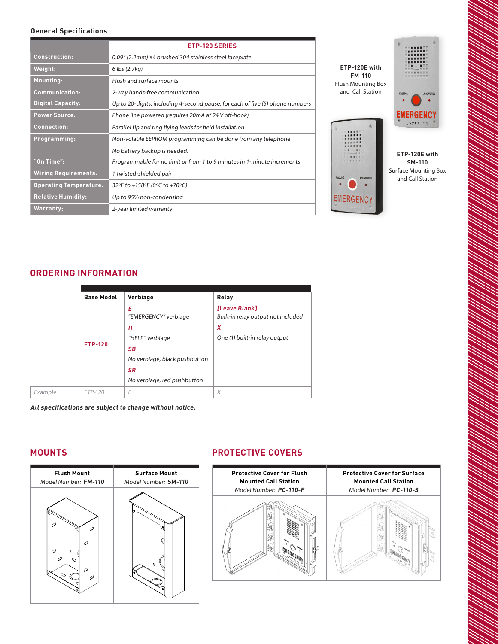#### **General Specifications**

|                               | <b>ETP-120 SERIES</b>                                                         |  |  |
|-------------------------------|-------------------------------------------------------------------------------|--|--|
| <b>Construction:</b>          | 0.09" (2.2mm) #4 brushed 304 stainless steel faceplate                        |  |  |
| Weight:                       | 6 lbs (2.7kg)                                                                 |  |  |
| Mounting:                     | Flush and surface mounts                                                      |  |  |
| <b>Communication:</b>         | 2-way hands-free communication                                                |  |  |
| <b>Digital Capacity:</b>      | Up to 20-digits, including 4-second pause, for each of five (5) phone numbers |  |  |
| <b>Power Source:</b>          | Phone line powered (requires 20mA at 24 V off-hook)                           |  |  |
| <b>Connection:</b>            | Parallel tip and ring flying leads for field installation                     |  |  |
| Programming:                  | Non-volatile EEPROM programming can be done from any telephone                |  |  |
|                               | No battery backup is needed.                                                  |  |  |
| "On Time":                    | Programmable for no limit or from 1 to 9 minutes in 1-minute increments       |  |  |
| <b>Wiring Requirements:</b>   | 1 twisted-shielded pair                                                       |  |  |
| <b>Operating Temperature:</b> | 32°F to +158°F (0°C to +70°C)                                                 |  |  |
| <b>Relative Humidity:</b>     | Up to 95% non-condensing                                                      |  |  |
| Warranty;                     | 2-year limited warranty                                                       |  |  |



**ETP-120E with SM-110** Surface Mounting Box and Call Station

#### **ORDERING INFORMATION**

|                | <b>Base Model</b> | Verbiage                      | Relay                                               |
|----------------|-------------------|-------------------------------|-----------------------------------------------------|
|                |                   | Е<br>"EMERGENCY" verbiage     | [Leave Blank]<br>Built-in relay output not included |
|                |                   | н                             | X                                                   |
| <b>ETP-120</b> |                   | "HELP" verbiage               | One (1) built-in relay output                       |
|                |                   | <b>SB</b>                     |                                                     |
|                |                   | No verbiage, black pushbutton |                                                     |
|                |                   | <b>SR</b>                     |                                                     |
|                |                   | No verbiage, red pushbutton   |                                                     |
|                | ETP-120           | E                             | X                                                   |
|                |                   |                               |                                                     |

**All specifications are subject to change without notice.** 

#### **MOUNTS**



### **PROTECTIVE COVERS**



**Protective Cover for Flush** 

**Mounted Call Station** 

#### C **Protective Cover for Surface Mounted Call Station** Model Number: **PC-110-S**